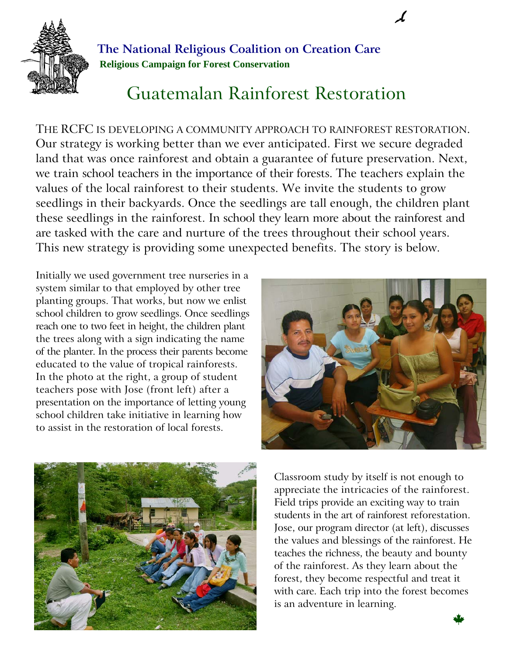

**The National Religious Coalition on Creation Care Religious Campaign for Forest Conservation**

## Guatemalan Rainforest Restoration

THE RCFC IS DEVELOPING A COMMUNITY APPROACH TO RAINFOREST RESTORATION. Our strategy is working better than we ever anticipated. First we secure degraded land that was once rainforest and obtain a guarantee of future preservation. Next, we train school teachers in the importance of their forests. The teachers explain the values of the local rainforest to their students. We invite the students to grow seedlings in their backyards. Once the seedlings are tall enough, the children plant these seedlings in the rainforest. In school they learn more about the rainforest and are tasked with the care and nurture of the trees throughout their school years. This new strategy is providing some unexpected benefits. The story is below.

Initially we used government tree nurseries in a system similar to that employed by other tree planting groups. That works, but now we enlist school children to grow seedlings. Once seedlings reach one to two feet in height, the children plant the trees along with a sign indicating the name of the planter. In the process their parents become educated to the value of tropical rainforests. In the photo at the right, a group of student teachers pose with Jose (front left) after a presentation on the importance of letting young school children take initiative in learning how to assist in the restoration of local forests.





Classroom study by itself is not enough to appreciate the intricacies of the rainforest. Field trips provide an exciting way to train students in the art of rainforest reforestation. Jose, our program director (at left), discusses the values and blessings of the rainforest. He teaches the richness, the beauty and bounty of the rainforest. As they learn about the forest, they become respectful and treat it with care. Each trip into the forest becomes is an adventure in learning.  $\mathbf{r}$  an adventure in rearning.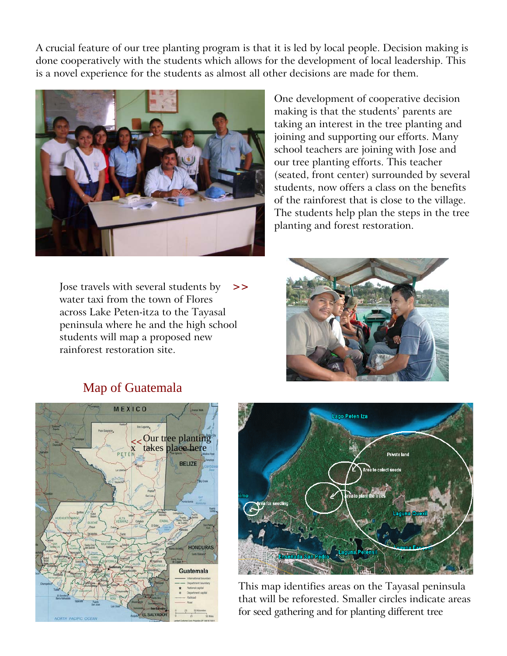A crucial feature of our tree planting program is that it is led by local people. Decision making is done cooperatively with the students which allows for the development of local leadership. This is a novel experience for the students as almost all other decisions are made for them.



Jose travels with several students by water taxi from the town of Flores across Lake Peten-itza to the Tayasal peninsula where he and the high school students will map a proposed new rainforest restoration site.

One development of cooperative decision making is that the students' parents are taking an interest in the tree planting and joining and supporting our efforts. Many school teachers are joining with Jose and our tree planting efforts. This teacher (seated, front center) surrounded by several students, now offers a class on the benefits of the rainforest that is close to the village. The students help plan the steps in the tree planting and forest restoration.







This map identifies areas on the Tayasal peninsula that will be reforested. Smaller circles indicate areas for seed gathering and for planting different tree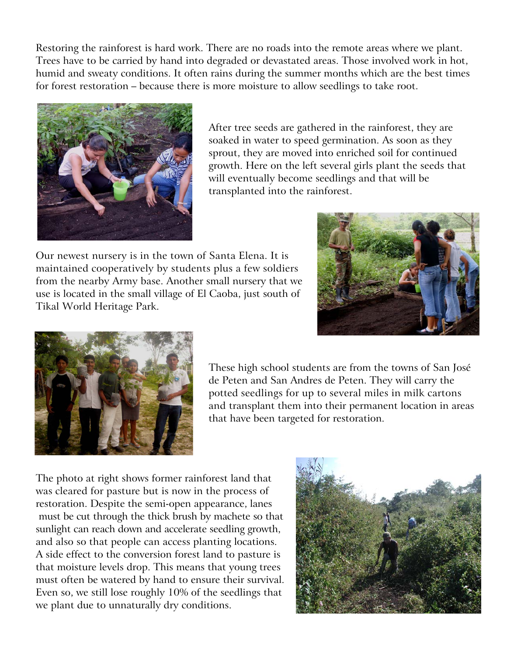Restoring the rainforest is hard work. There are no roads into the remote areas where we plant. Trees have to be carried by hand into degraded or devastated areas. Those involved work in hot, humid and sweaty conditions. It often rains during the summer months which are the best times for forest restoration – because there is more moisture to allow seedlings to take root.



After tree seeds are gathered in the rainforest, they are soaked in water to speed germination. As soon as they sprout, they are moved into enriched soil for continued growth. Here on the left several girls plant the seeds that will eventually become seedlings and that will be transplanted into the rainforest.

Our newest nursery is in the town of Santa Elena. It is maintained cooperatively by students plus a few soldiers from the nearby Army base. Another small nursery that we use is located in the small village of El Caoba, just south of Tikal World Heritage Park.





These high school students are from the towns of San José de Peten and San Andres de Peten. They will carry the potted seedlings for up to several miles in milk cartons and transplant them into their permanent location in areas that have been targeted for restoration.

The photo at right shows former rainforest land that was cleared for pasture but is now in the process of restoration. Despite the semi-open appearance, lanes must be cut through the thick brush by machete so that sunlight can reach down and accelerate seedling growth, and also so that people can access planting locations. A side effect to the conversion forest land to pasture is that moisture levels drop. This means that young trees must often be watered by hand to ensure their survival. Even so, we still lose roughly 10% of the seedlings that we plant due to unnaturally dry conditions.